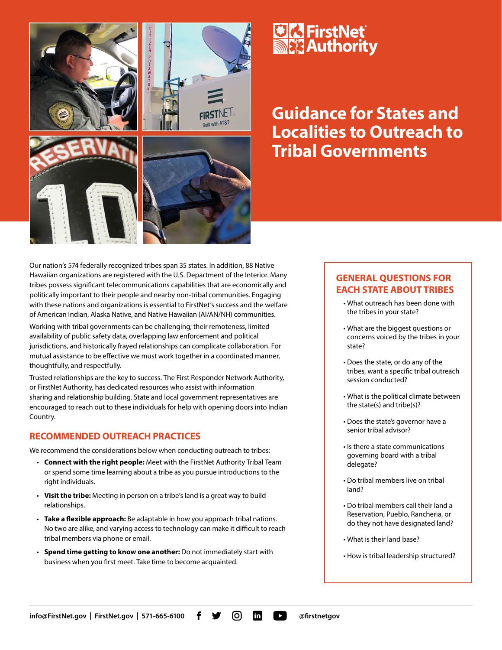

#### Our nation's 574 federally recognized tribes span 35 states. In addition, 88 Native Hawaiian organizations are registered with the U.S. Department of the Interior. Many tribes possess significant telecommunications capabilities that are economically and politically important to their people and nearby non-tribal communities. Engaging with these nations and organizations is essential to FirstNet's success and the welfare of American Indian, Alaska Native, and Native Hawaiian (AI/AN/NH) communities.

Working with tribal governments can be challenging; their remoteness, limited availability of public safety data, overlapping law enforcement and political jurisdictions, and historically frayed relationships can complicate collaboration. For mutual assistance to be effective we must work together in a coordinated manner, thoughtfully, and respectfully.

Trusted relationships are the key to success. The First Responder Network Authority, or FirstNet Authority, has dedicated resources who assist with information sharing and relationship building. State and local government representatives are encouraged to reach out to these individuals for help with opening doors into Indian Country.

### **RECOMMENDED OUTREACH PRACTICES**

We recommend the considerations below when conducting outreach to tribes:

- **Connect with the right people:** Meet with the FirstNet Authority Tribal Team or spend some time learning about a tribe as you pursue introductions to the right individuals.
- **Visit the tribe:** Meeting in person on a tribe's land is a great way to build relationships.
- **Take a flexible approach:** Be adaptable in how you approach tribal nations. No two are alike, and varying access to technology can make it difficult to reach tribal members via phone or email.
- **Spend time getting to know one another:** Do not immediately start with business when you first meet. Take time to become acquainted.

## **<u> « FirstNet</u> MEX** Authority

# **Guidance for States and Localities to Outreach to Tribal Governments**

## **GENERAL QUESTIONS FOR EACH STATE ABOUT TRIBES**

- What outreach has been done with the tribes in your state?
- What are the biggest questions or concerns voiced by the tribes in your state?
- Does the state, or do any of the tribes, want a specific tribal outreach session conducted?
- What is the political climate between the state(s) and tribe(s)?
- Does the state's governor have a senior tribal advisor?
- Is there a state communications governing board with a tribal delegate?
- Do tribal members live on tribal land?
- Do tribal members call their land a Reservation, Pueblo, Rancheria, or do they not have designated land?
- What is their land base?
- How is tribal leadership structured?